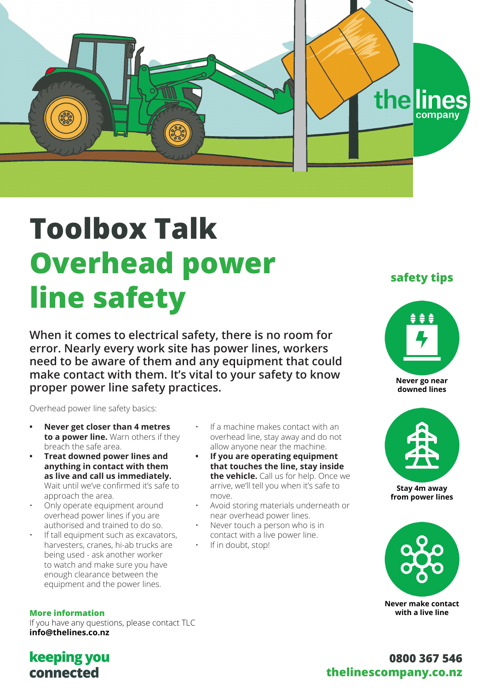



# **Toolbox Talk Overhead power line safety**

**When it comes to electrical safety, there is no room for error. Nearly every work site has power lines, workers need to be aware of them and any equipment that could make contact with them. It's vital to your safety to know proper power line safety practices.**

Overhead power line safety basics:

- **• Never get closer than 4 metres to a power line.** Warn others if they breach the safe area.
- **• Treat downed power lines and anything in contact with them as live and call us immediately.** Wait until we've confirmed it's safe to approach the area.
- Only operate equipment around overhead power lines if you are authorised and trained to do so.
- If tall equipment such as excavators, harvesters, cranes, hi-ab trucks are being used - ask another worker to watch and make sure you have enough clearance between the equipment and the power lines.

**More information** If you have any questions, please contact TLC **info@thelines.co.nz**

- If a machine makes contact with an overhead line, stay away and do not allow anyone near the machine.
- **• If you are operating equipment that touches the line, stay inside the vehicle.** Call us for help. Once we arrive, we'll tell you when it's safe to move.
- Avoid storing materials underneath or near overhead power lines.
- Never touch a person who is in contact with a live power line.
- If in doubt, stop!

### **safety tips**



**Never go near downed lines** 



**Stay 4m away from power lines**



**Never make contact with a live line**

## **keeping you** connected

## **0800 367 546 thelinescompany.co.nz**